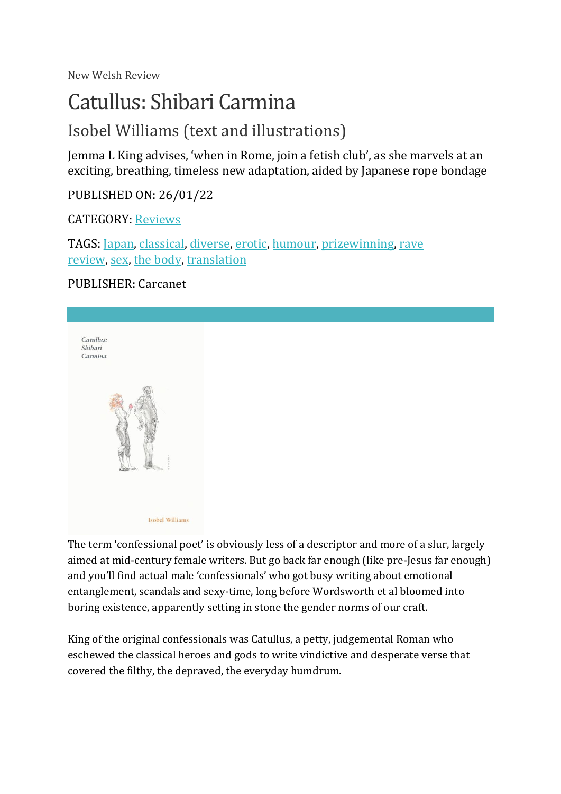New Welsh Review

# Catullus: Shibari Carmina

# Isobel Williams (text and illustrations)

Jemma L King advises, 'when in Rome, join a fetish club', as she marvels at an exciting, breathing, timeless new adaptation, aided by Japanese rope bondage

PUBLISHED ON: 26/01/22

CATEGORY: [Reviews](https://newwelshreview.com/category/reviews)

TAGS: [Japan,](https://newwelshreview.com/tag/japan) [classical,](https://newwelshreview.com/tag/classical) [diverse,](https://newwelshreview.com/tag/diverse) [erotic,](https://newwelshreview.com/tag/erotic) [humour,](https://newwelshreview.com/tag/humour) [prizewinning,](https://newwelshreview.com/tag/prizewinning) [rave](https://newwelshreview.com/tag/rave-review)  [review,](https://newwelshreview.com/tag/rave-review) [sex,](https://newwelshreview.com/tag/sex) [the body,](https://newwelshreview.com/tag/the-body) [translation](https://newwelshreview.com/tag/translation)

### PUBLISHER: Carcanet



The term 'confessional poet' is obviously less of a descriptor and more of a slur, largely aimed at mid-century female writers. But go back far enough (like pre-Jesus far enough) and you'll find actual male 'confessionals' who got busy writing about emotional entanglement, scandals and sexy-time, long before Wordsworth et al bloomed into boring existence, apparently setting in stone the gender norms of our craft.

King of the original confessionals was Catullus, a petty, judgemental Roman who eschewed the classical heroes and gods to write vindictive and desperate verse that covered the filthy, the depraved, the everyday humdrum.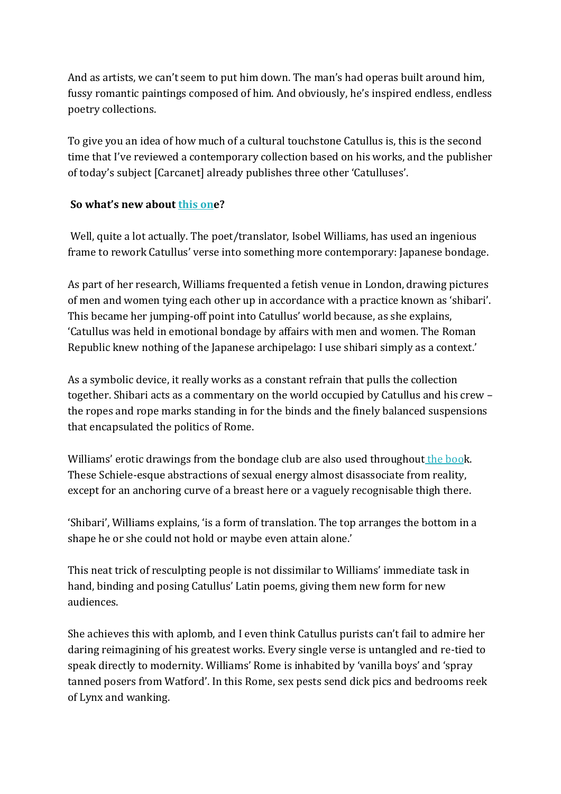And as artists, we can't seem to put him down. The man's had operas built around him, fussy romantic paintings composed of him. And obviously, he's inspired endless, endless poetry collections.

To give you an idea of how much of a cultural touchstone Catullus is, this is the second time that I've reviewed a contemporary collection based on his works, and the publisher of today's subject [Carcanet] already publishes three other 'Catulluses'.

#### **So what's new about [this one](https://www.carcanet.co.uk/cgi-bin/indexer?product=9781800170742)?**

Well, quite a lot actually. The poet/translator, Isobel Williams, has used an ingenious frame to rework Catullus' verse into something more contemporary: Japanese bondage.

As part of her research, Williams frequented a fetish venue in London, drawing pictures of men and women tying each other up in accordance with a practice known as 'shibari'. This became her jumping-off point into Catullus' world because, as she explains, 'Catullus was held in emotional bondage by affairs with men and women. The Roman Republic knew nothing of the Japanese archipelago: I use shibari simply as a context.'

As a symbolic device, it really works as a constant refrain that pulls the collection together. Shibari acts as a commentary on the world occupied by Catullus and his crew – the ropes and rope marks standing in for the binds and the finely balanced suspensions that encapsulated the politics of Rome.

Williams' erotic drawings from the bondage club are also used throughout [the book](https://www.carcanet.co.uk/cgi-bin/indexer?product=9781800170742). These Schiele-esque abstractions of sexual energy almost disassociate from reality, except for an anchoring curve of a breast here or a vaguely recognisable thigh there.

'Shibari', Williams explains, 'is a form of translation. The top arranges the bottom in a shape he or she could not hold or maybe even attain alone.'

This neat trick of resculpting people is not dissimilar to Williams' immediate task in hand, binding and posing Catullus' Latin poems, giving them new form for new audiences.

She achieves this with aplomb, and I even think Catullus purists can't fail to admire her daring reimagining of his greatest works. Every single verse is untangled and re-tied to speak directly to modernity. Williams' Rome is inhabited by 'vanilla boys' and 'spray tanned posers from Watford'. In this Rome, sex pests send dick pics and bedrooms reek of Lynx and wanking.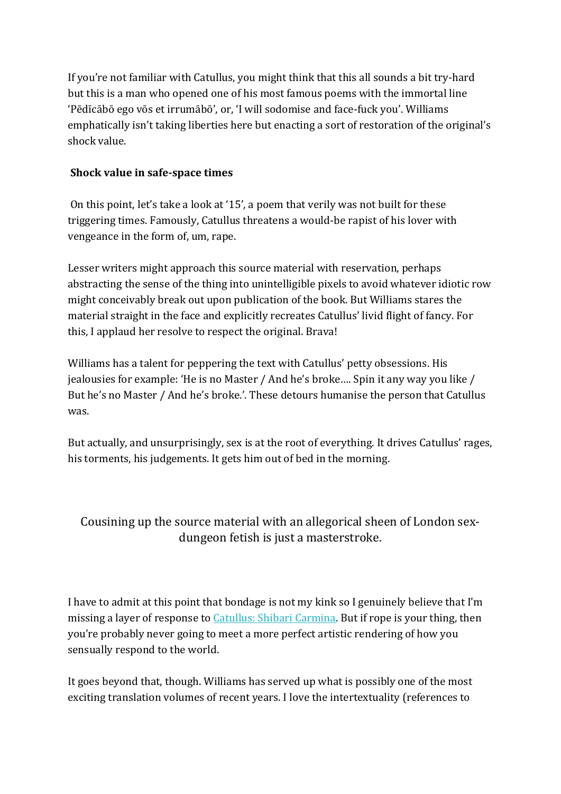If you're not familiar with Catullus, you might think that this all sounds a bit try-hard but this is a man who opened one of his most famous poems with the immortal line 'Pēdīcābō ego vōs et irrumābō', or, 'I will sodomise and face-fuck you'. Williams emphatically isn't taking liberties here but enacting a sort of restoration of the original's shock value.

#### **Shock value in safe-space times**

On this point, let's take a look at '15', a poem that verily was not built for these triggering times. Famously, Catullus threatens a would-be rapist of his lover with vengeance in the form of, um, rape.

Lesser writers might approach this source material with reservation, perhaps abstracting the sense of the thing into unintelligible pixels to avoid whatever idiotic row might conceivably break out upon publication of the book. But Williams stares the material straight in the face and explicitly recreates Catullus' livid flight of fancy. For this, I applaud her resolve to respect the original. Brava!

Williams has a talent for peppering the text with Catullus' petty obsessions. His jealousies for example: 'He is no Master / And he's broke…. Spin it any way you like / But he's no Master / And he's broke.'. These detours humanise the person that Catullus was.

But actually, and unsurprisingly, sex is at the root of everything. It drives Catullus' rages, his torments, his judgements. It gets him out of bed in the morning.

## Cousining up the source material with an allegorical sheen of London sexdungeon fetish is just a masterstroke.

I have to admit at this point that bondage is not my kink so I genuinely believe that I'm missing a layer of response to [Catullus: Shibari Carmina.](https://www.carcanet.co.uk/cgi-bin/indexer?product=9781800170742) But if rope is your thing, then you're probably never going to meet a more perfect artistic rendering of how you sensually respond to the world.

It goes beyond that, though. Williams has served up what is possibly one of the most exciting translation volumes of recent years. I love the intertextuality (references to